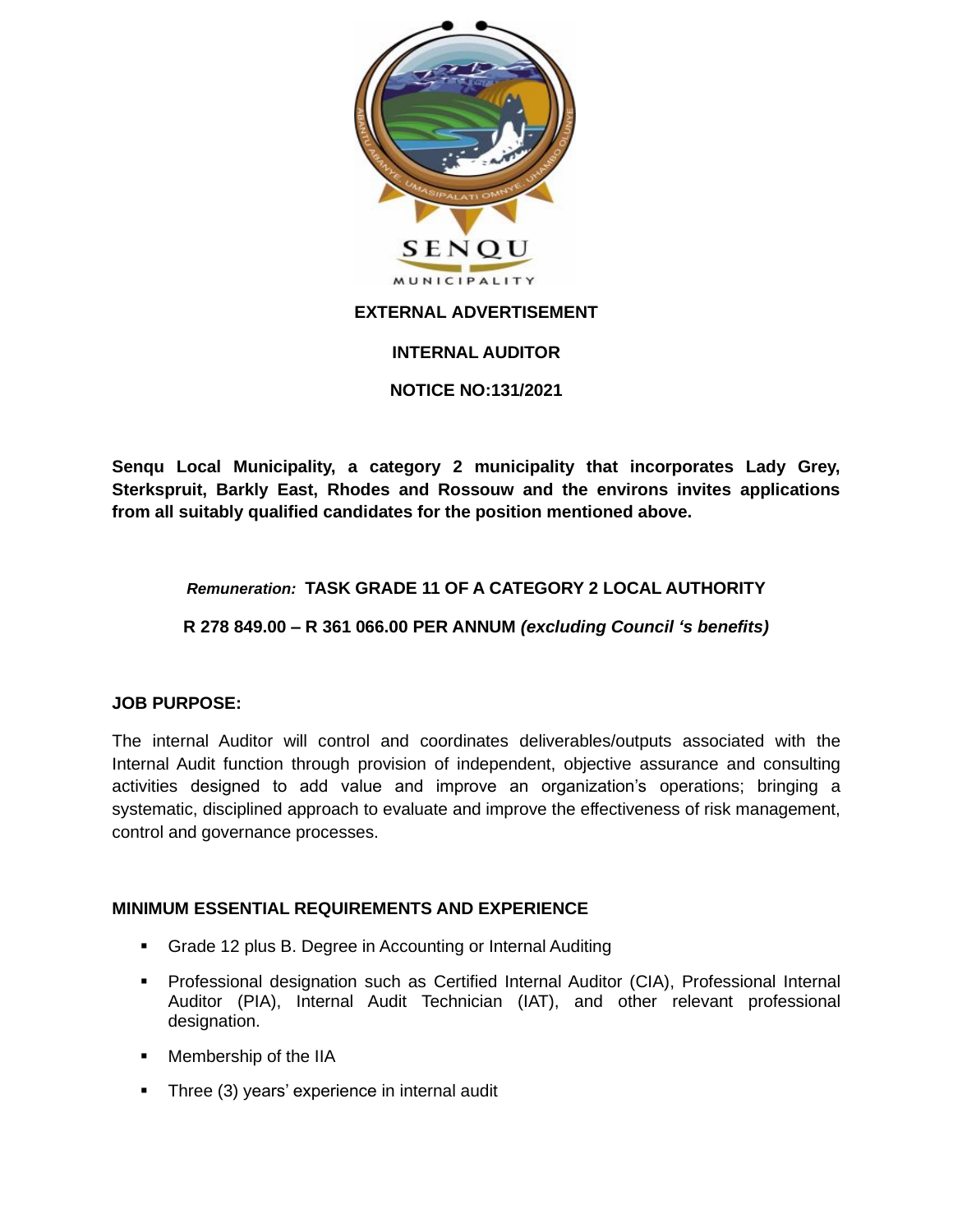

# **INTERNAL AUDITOR**

# **NOTICE NO:131/2021**

**Senqu Local Municipality, a category 2 municipality that incorporates Lady Grey, Sterkspruit, Barkly East, Rhodes and Rossouw and the environs invites applications from all suitably qualified candidates for the position mentioned above.**

# *Remuneration:* **TASK GRADE 11 OF A CATEGORY 2 LOCAL AUTHORITY**

# **R 278 849.00 – R 361 066.00 PER ANNUM** *(excluding Council 's benefits)*

# **JOB PURPOSE:**

The internal Auditor will control and coordinates deliverables/outputs associated with the Internal Audit function through provision of independent, objective assurance and consulting activities designed to add value and improve an organization's operations; bringing a systematic, disciplined approach to evaluate and improve the effectiveness of risk management, control and governance processes.

# **MINIMUM ESSENTIAL REQUIREMENTS AND EXPERIENCE**

- Grade 12 plus B. Degree in Accounting or Internal Auditing
- Professional designation such as Certified Internal Auditor (CIA), Professional Internal Auditor (PIA), Internal Audit Technician (IAT), and other relevant professional designation.
- Membership of the IIA
- **•** Three (3) years' experience in internal audit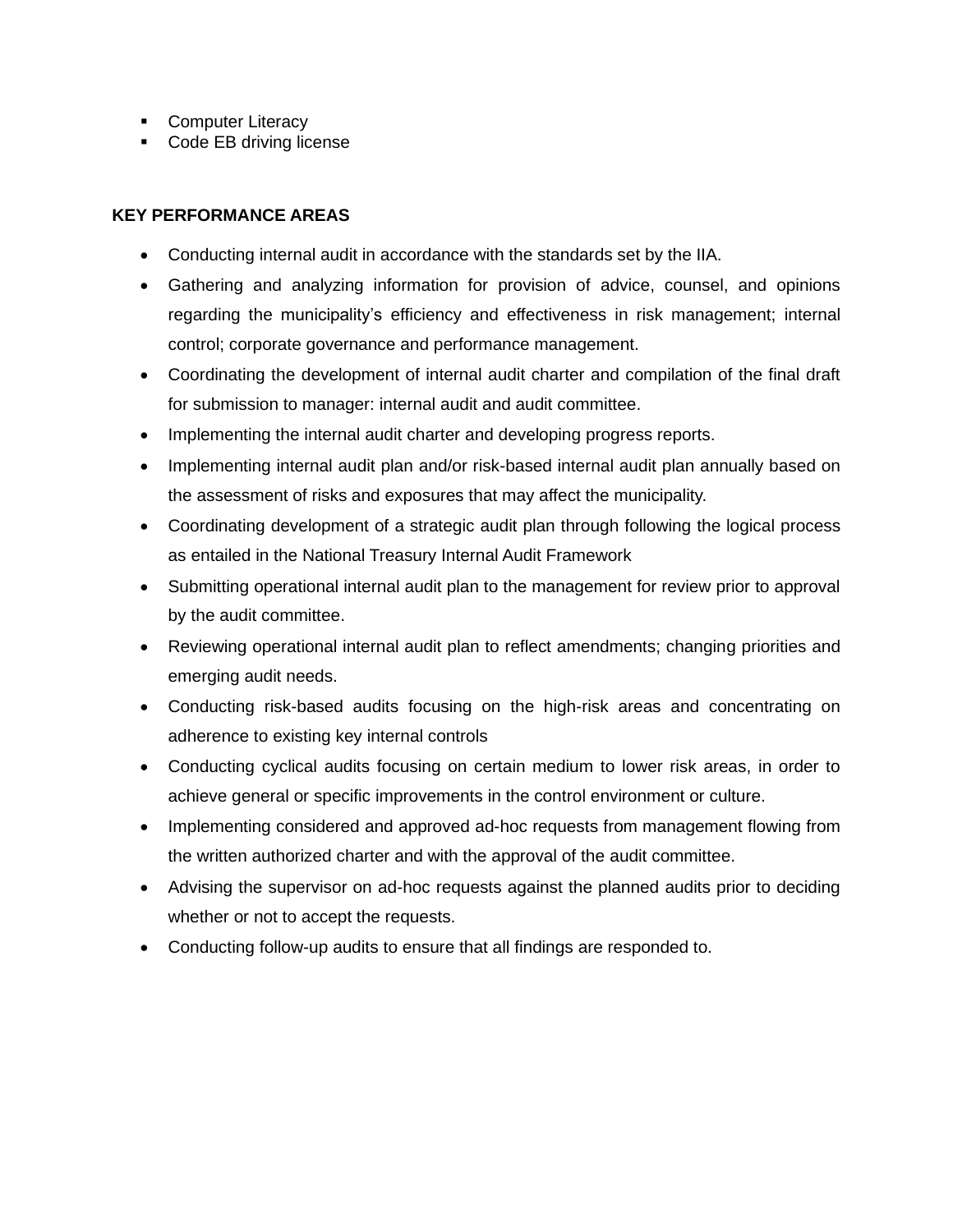- Computer Literacy
- Code EB driving license

#### **KEY PERFORMANCE AREAS**

- Conducting internal audit in accordance with the standards set by the IIA.
- Gathering and analyzing information for provision of advice, counsel, and opinions regarding the municipality's efficiency and effectiveness in risk management; internal control; corporate governance and performance management.
- Coordinating the development of internal audit charter and compilation of the final draft for submission to manager: internal audit and audit committee.
- Implementing the internal audit charter and developing progress reports.
- Implementing internal audit plan and/or risk-based internal audit plan annually based on the assessment of risks and exposures that may affect the municipality.
- Coordinating development of a strategic audit plan through following the logical process as entailed in the National Treasury Internal Audit Framework
- Submitting operational internal audit plan to the management for review prior to approval by the audit committee.
- Reviewing operational internal audit plan to reflect amendments; changing priorities and emerging audit needs.
- Conducting risk-based audits focusing on the high-risk areas and concentrating on adherence to existing key internal controls
- Conducting cyclical audits focusing on certain medium to lower risk areas, in order to achieve general or specific improvements in the control environment or culture.
- Implementing considered and approved ad-hoc requests from management flowing from the written authorized charter and with the approval of the audit committee.
- Advising the supervisor on ad-hoc requests against the planned audits prior to deciding whether or not to accept the requests.
- Conducting follow-up audits to ensure that all findings are responded to.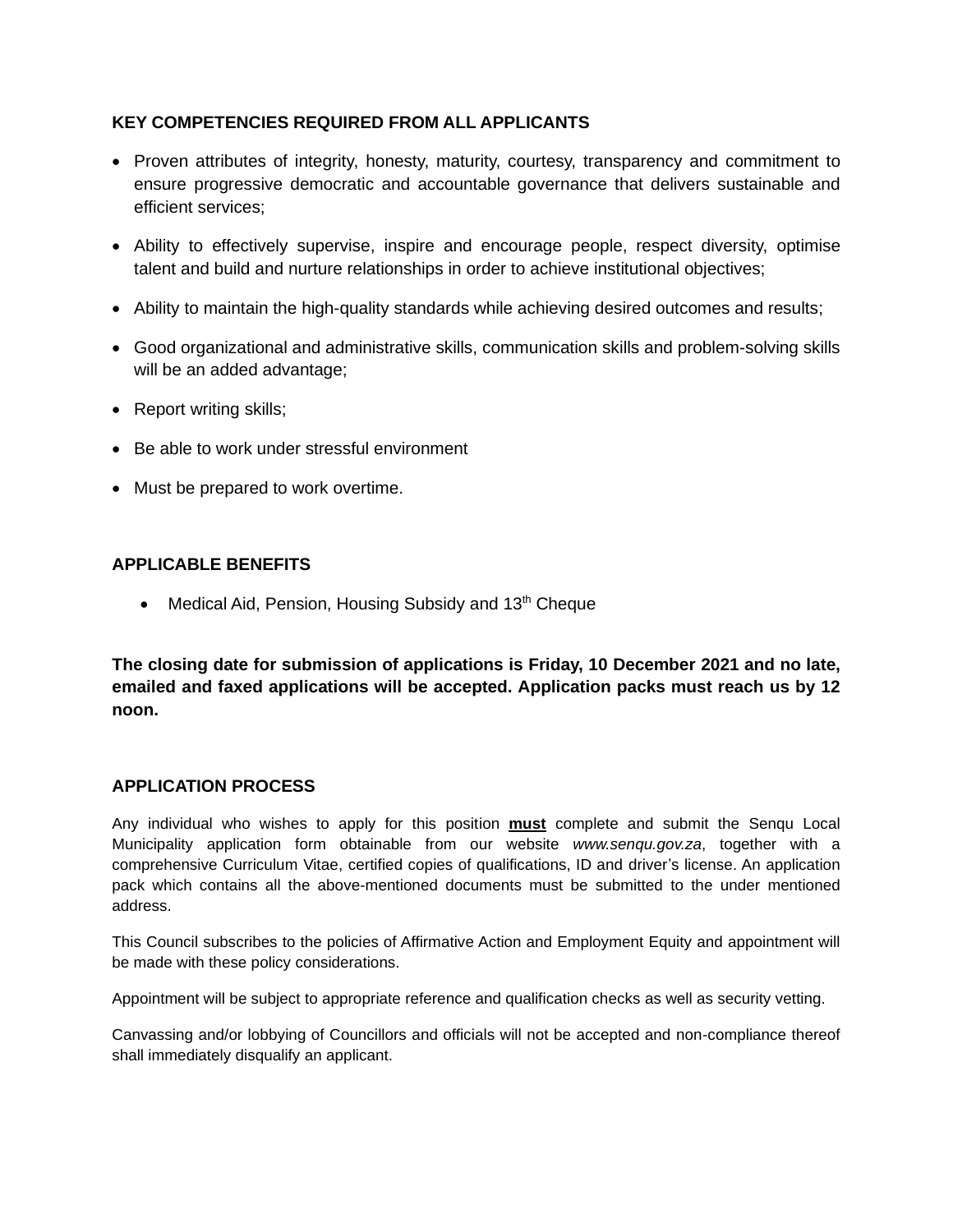# **KEY COMPETENCIES REQUIRED FROM ALL APPLICANTS**

- Proven attributes of integrity, honesty, maturity, courtesy, transparency and commitment to ensure progressive democratic and accountable governance that delivers sustainable and efficient services;
- Ability to effectively supervise, inspire and encourage people, respect diversity, optimise talent and build and nurture relationships in order to achieve institutional objectives;
- Ability to maintain the high-quality standards while achieving desired outcomes and results;
- Good organizational and administrative skills, communication skills and problem-solving skills will be an added advantage:
- Report writing skills;
- Be able to work under stressful environment
- Must be prepared to work overtime.

# **APPLICABLE BENEFITS**

• Medical Aid, Pension, Housing Subsidy and 13<sup>th</sup> Cheque

**The closing date for submission of applications is Friday, 10 December 2021 and no late, emailed and faxed applications will be accepted. Application packs must reach us by 12 noon.**

# **APPLICATION PROCESS**

Any individual who wishes to apply for this position **must** complete and submit the Senqu Local Municipality application form obtainable from our website *www.senqu.gov.za*, together with a comprehensive Curriculum Vitae, certified copies of qualifications, ID and driver's license. An application pack which contains all the above-mentioned documents must be submitted to the under mentioned address.

This Council subscribes to the policies of Affirmative Action and Employment Equity and appointment will be made with these policy considerations.

Appointment will be subject to appropriate reference and qualification checks as well as security vetting.

Canvassing and/or lobbying of Councillors and officials will not be accepted and non-compliance thereof shall immediately disqualify an applicant.